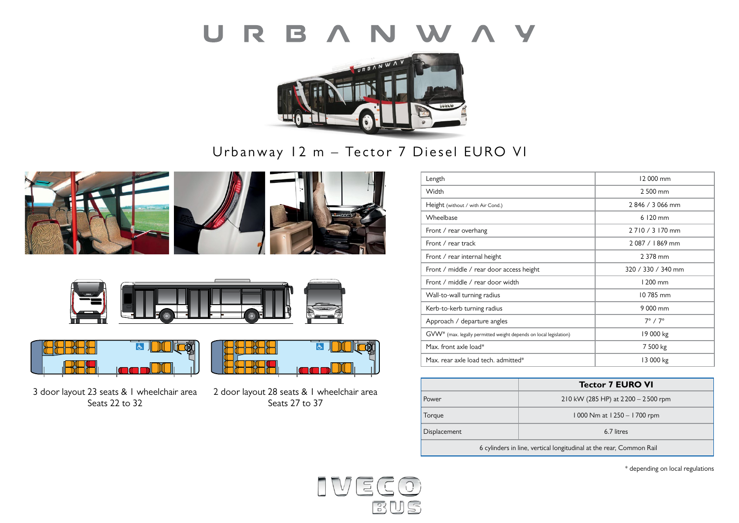



Urbanway 12 m – Tector 7 Diesel EURO VI











3 door layout 23 seats & 1 wheelchair area Seats 22 to 32



2 door layout 28 seats & 1 wheelchair area Seats 27 to 37

| Length                                                                        | 12 000 mm           |
|-------------------------------------------------------------------------------|---------------------|
| Width                                                                         | 2 500 mm            |
| Height (without / with Air Cond.)                                             | 2846 / 3066 mm      |
| Wheelbase                                                                     | $6120$ mm           |
| Front / rear overhang                                                         | 2 7 10 / 3 170 mm   |
| Front / rear track                                                            | 2087 / 1869 mm      |
| Front / rear internal height                                                  | 2 378 mm            |
| Front / middle / rear door access height                                      | 320 / 330 / 340 mm  |
| Front / middle / rear door width                                              | $1200$ mm           |
| Wall-to-wall turning radius                                                   | 10785 mm            |
| Kerb-to-kerb turning radius                                                   | 9 000 mm            |
| Approach / departure angles                                                   | $7^\circ / 7^\circ$ |
| GVW <sup>*</sup> (max. legally permitted weight depends on local legislation) | 19 000 kg           |
| Max. front axle load*                                                         | 7 500 kg            |
| Max. rear axle load tech. admitted*                                           | 13 000 kg           |

|                                                                     | <b>Tector 7 EURO VI</b>              |  |
|---------------------------------------------------------------------|--------------------------------------|--|
| Power                                                               | 210 kW (285 HP) at $2200 - 2500$ rpm |  |
| Torque                                                              | 1000 Nm at 1250 - 1700 rpm           |  |
| Displacement                                                        | 6.7 litres                           |  |
| 6 cylinders in line, vertical longitudinal at the rear, Common Rail |                                      |  |

\* depending on local regulations